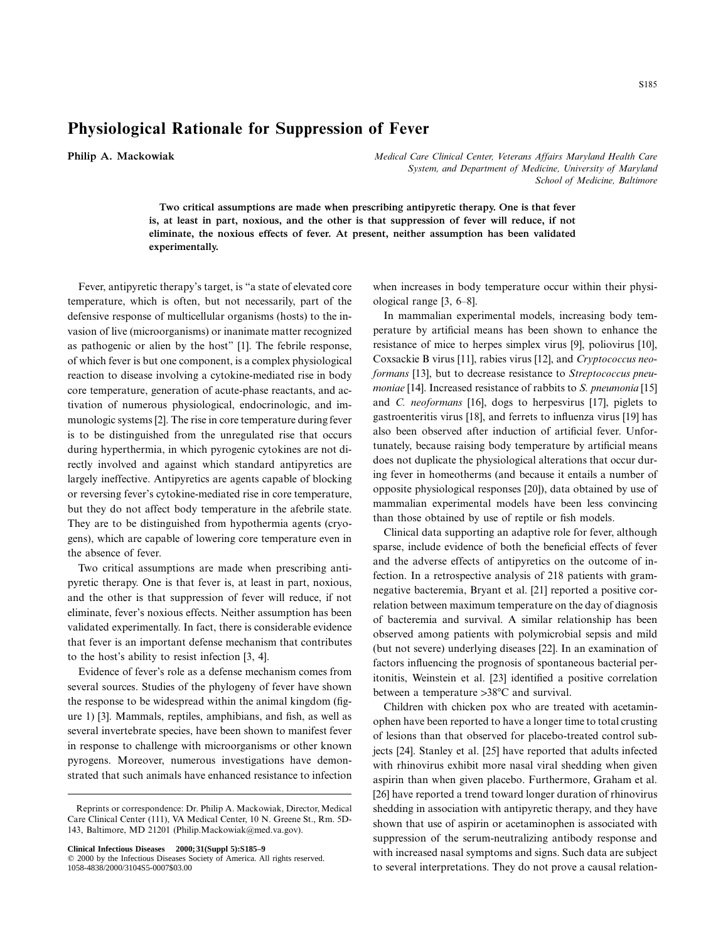## **Physiological Rationale for Suppression of Fever**

**Philip A. Mackowiak** *Medical Care Clinical Center, Veterans Affairs Maryland Health Care System, and Department of Medicine, University of Maryland School of Medicine, Baltimore*

> **Two critical assumptions are made when prescribing antipyretic therapy. One is that fever is, at least in part, noxious, and the other is that suppression of fever will reduce, if not eliminate, the noxious effects of fever. At present, neither assumption has been validated experimentally.**

Fever, antipyretic therapy's target, is "a state of elevated core temperature, which is often, but not necessarily, part of the defensive response of multicellular organisms (hosts) to the invasion of live (microorganisms) or inanimate matter recognized as pathogenic or alien by the host" [1]. The febrile response, of which fever is but one component, is a complex physiological reaction to disease involving a cytokine-mediated rise in body core temperature, generation of acute-phase reactants, and activation of numerous physiological, endocrinologic, and immunologic systems [2]. The rise in core temperature during fever is to be distinguished from the unregulated rise that occurs during hyperthermia, in which pyrogenic cytokines are not directly involved and against which standard antipyretics are largely ineffective. Antipyretics are agents capable of blocking or reversing fever's cytokine-mediated rise in core temperature, but they do not affect body temperature in the afebrile state. They are to be distinguished from hypothermia agents (cryogens), which are capable of lowering core temperature even in the absence of fever.

Two critical assumptions are made when prescribing antipyretic therapy. One is that fever is, at least in part, noxious, and the other is that suppression of fever will reduce, if not eliminate, fever's noxious effects. Neither assumption has been validated experimentally. In fact, there is considerable evidence that fever is an important defense mechanism that contributes to the host's ability to resist infection [3, 4].

Evidence of fever's role as a defense mechanism comes from several sources. Studies of the phylogeny of fever have shown the response to be widespread within the animal kingdom (figure 1) [3]. Mammals, reptiles, amphibians, and fish, as well as several invertebrate species, have been shown to manifest fever in response to challenge with microorganisms or other known pyrogens. Moreover, numerous investigations have demonstrated that such animals have enhanced resistance to infection

**Clinical Infectious Diseases 2000;31(Suppl 5):S185–9**

when increases in body temperature occur within their physiological range [3, 6–8].

In mammalian experimental models, increasing body temperature by artificial means has been shown to enhance the resistance of mice to herpes simplex virus [9], poliovirus [10], Coxsackie B virus [11], rabies virus [12], and *Cryptococcus neoformans* [13], but to decrease resistance to *Streptococcus pneumoniae* [14]. Increased resistance of rabbits to *S. pneumonia* [15] and *C. neoformans* [16], dogs to herpesvirus [17], piglets to gastroenteritis virus [18], and ferrets to influenza virus [19] has also been observed after induction of artificial fever. Unfortunately, because raising body temperature by artificial means does not duplicate the physiological alterations that occur during fever in homeotherms (and because it entails a number of opposite physiological responses [20]), data obtained by use of mammalian experimental models have been less convincing than those obtained by use of reptile or fish models.

Clinical data supporting an adaptive role for fever, although sparse, include evidence of both the beneficial effects of fever and the adverse effects of antipyretics on the outcome of infection. In a retrospective analysis of 218 patients with gramnegative bacteremia, Bryant et al. [21] reported a positive correlation between maximum temperature on the day of diagnosis of bacteremia and survival. A similar relationship has been observed among patients with polymicrobial sepsis and mild (but not severe) underlying diseases [22]. In an examination of factors influencing the prognosis of spontaneous bacterial peritonitis, Weinstein et al. [23] identified a positive correlation between a temperature  $>38^{\circ}C$  and survival.

Children with chicken pox who are treated with acetaminophen have been reported to have a longer time to total crusting of lesions than that observed for placebo-treated control subjects [24]. Stanley et al. [25] have reported that adults infected with rhinovirus exhibit more nasal viral shedding when given aspirin than when given placebo. Furthermore, Graham et al. [26] have reported a trend toward longer duration of rhinovirus shedding in association with antipyretic therapy, and they have shown that use of aspirin or acetaminophen is associated with suppression of the serum-neutralizing antibody response and with increased nasal symptoms and signs. Such data are subject to several interpretations. They do not prove a causal relation-

Reprints or correspondence: Dr. Philip A. Mackowiak, Director, Medical Care Clinical Center (111), VA Medical Center, 10 N. Greene St., Rm. 5D-143, Baltimore, MD 21201 (Philip.Mackowiak@med.va.gov).

 $©$  2000 by the Infectious Diseases Society of America. All rights reserved. 1058-4838/2000/3104S5-0007\$03.00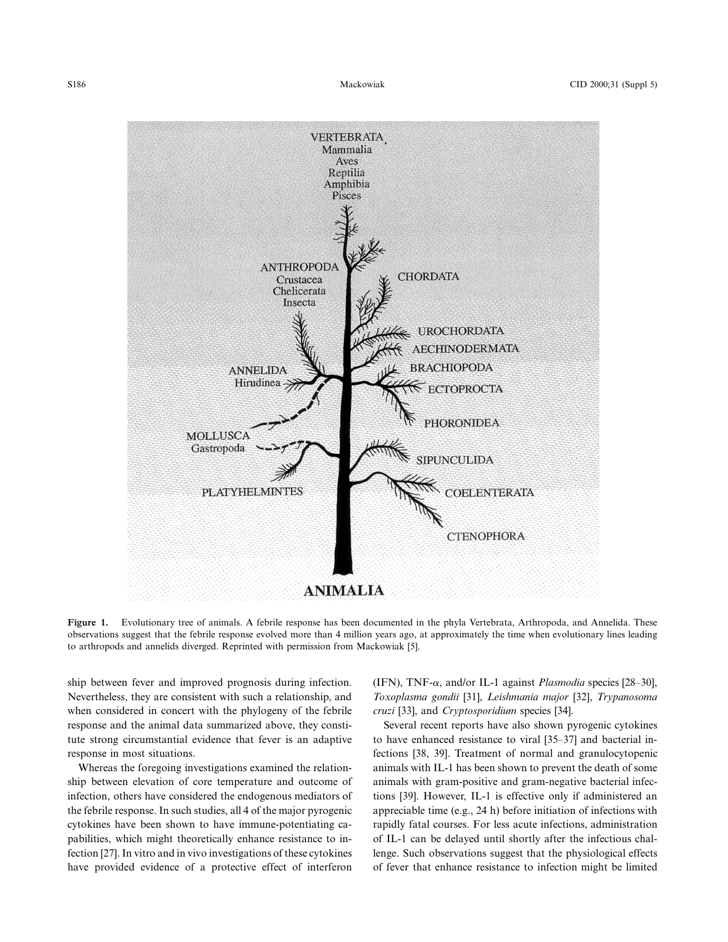

Figure 1. Evolutionary tree of animals. A febrile response has been documented in the phyla Vertebrata, Arthropoda, and Annelida. These observations suggest that the febrile response evolved more than 4 million years ago, at approximately the time when evolutionary lines leading to arthropods and annelids diverged. Reprinted with permission from Mackowiak [5].

ship between fever and improved prognosis during infection. Nevertheless, they are consistent with such a relationship, and when considered in concert with the phylogeny of the febrile response and the animal data summarized above, they constitute strong circumstantial evidence that fever is an adaptive response in most situations.

Whereas the foregoing investigations examined the relationship between elevation of core temperature and outcome of infection, others have considered the endogenous mediators of the febrile response. In such studies, all 4 of the major pyrogenic cytokines have been shown to have immune-potentiating capabilities, which might theoretically enhance resistance to infection [27]. In vitro and in vivo investigations of these cytokines have provided evidence of a protective effect of interferon (IFN), TNF- $\alpha$ , and/or IL-1 against *Plasmodia* species [28–30], *Toxoplasma gondii* [31], *Leishmania major* [32], *Trypanosoma cruzi* [33], and *Cryptosporidium* species [34].

Several recent reports have also shown pyrogenic cytokines to have enhanced resistance to viral [35–37] and bacterial infections [38, 39]. Treatment of normal and granulocytopenic animals with IL-1 has been shown to prevent the death of some animals with gram-positive and gram-negative bacterial infections [39]. However, IL-1 is effective only if administered an appreciable time (e.g., 24 h) before initiation of infections with rapidly fatal courses. For less acute infections, administration of IL-1 can be delayed until shortly after the infectious challenge. Such observations suggest that the physiological effects of fever that enhance resistance to infection might be limited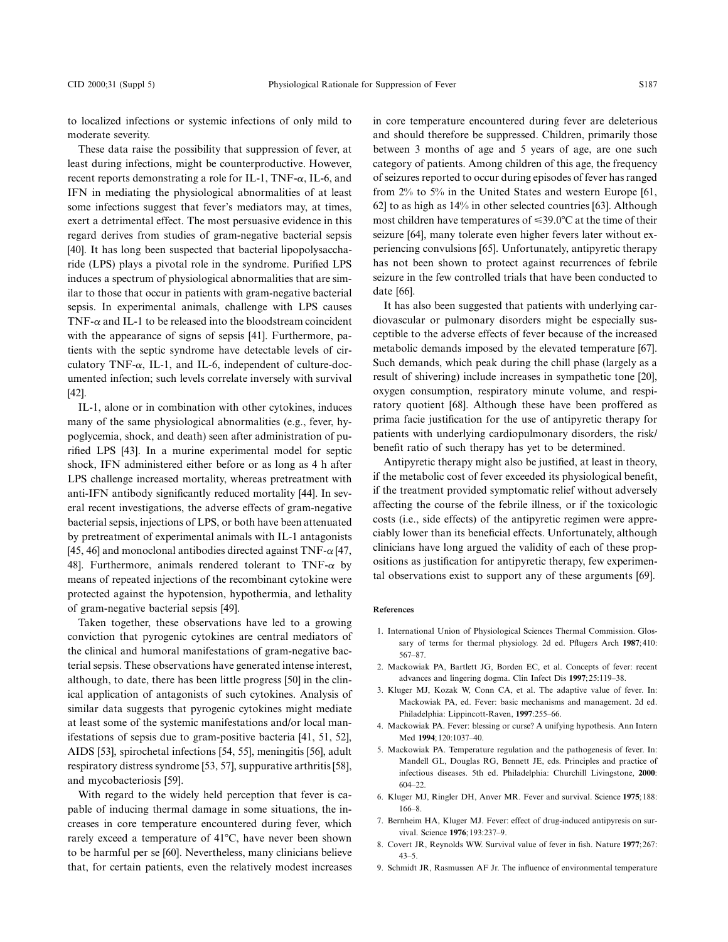to localized infections or systemic infections of only mild to moderate severity.

These data raise the possibility that suppression of fever, at least during infections, might be counterproductive. However, recent reports demonstrating a role for IL-1, TNF- $\alpha$ , IL-6, and IFN in mediating the physiological abnormalities of at least some infections suggest that fever's mediators may, at times, exert a detrimental effect. The most persuasive evidence in this regard derives from studies of gram-negative bacterial sepsis [40]. It has long been suspected that bacterial lipopolysaccharide (LPS) plays a pivotal role in the syndrome. Purified LPS induces a spectrum of physiological abnormalities that are similar to those that occur in patients with gram-negative bacterial sepsis. In experimental animals, challenge with LPS causes TNF- $\alpha$  and IL-1 to be released into the bloodstream coincident with the appearance of signs of sepsis [41]. Furthermore, patients with the septic syndrome have detectable levels of circulatory TNF- $\alpha$ , IL-1, and IL-6, independent of culture-documented infection; such levels correlate inversely with survival [42].

IL-1, alone or in combination with other cytokines, induces many of the same physiological abnormalities (e.g., fever, hypoglycemia, shock, and death) seen after administration of purified LPS [43]. In a murine experimental model for septic shock, IFN administered either before or as long as 4 h after LPS challenge increased mortality, whereas pretreatment with anti-IFN antibody significantly reduced mortality [44]. In several recent investigations, the adverse effects of gram-negative bacterial sepsis, injections of LPS, or both have been attenuated by pretreatment of experimental animals with IL-1 antagonists [45, 46] and monoclonal antibodies directed against  $TNF-\alpha$  [47, 48]. Furthermore, animals rendered tolerant to TNF- $\alpha$  by means of repeated injections of the recombinant cytokine were protected against the hypotension, hypothermia, and lethality of gram-negative bacterial sepsis [49].

Taken together, these observations have led to a growing conviction that pyrogenic cytokines are central mediators of the clinical and humoral manifestations of gram-negative bacterial sepsis. These observations have generated intense interest, although, to date, there has been little progress [50] in the clinical application of antagonists of such cytokines. Analysis of similar data suggests that pyrogenic cytokines might mediate at least some of the systemic manifestations and/or local manifestations of sepsis due to gram-positive bacteria [41, 51, 52], AIDS [53], spirochetal infections [54, 55], meningitis [56], adult respiratory distress syndrome [53, 57], suppurative arthritis [58], and mycobacteriosis [59].

With regard to the widely held perception that fever is capable of inducing thermal damage in some situations, the increases in core temperature encountered during fever, which rarely exceed a temperature of 41°C, have never been shown to be harmful per se [60]. Nevertheless, many clinicians believe that, for certain patients, even the relatively modest increases

in core temperature encountered during fever are deleterious and should therefore be suppressed. Children, primarily those between 3 months of age and 5 years of age, are one such category of patients. Among children of this age, the frequency of seizures reported to occur during episodes of fever has ranged from 2% to 5% in the United States and western Europe [61, 62] to as high as 14% in other selected countries [63]. Although most children have temperatures of  $\leq 39.0^{\circ}$ C at the time of their seizure [64], many tolerate even higher fevers later without experiencing convulsions [65]. Unfortunately, antipyretic therapy has not been shown to protect against recurrences of febrile seizure in the few controlled trials that have been conducted to date [66].

It has also been suggested that patients with underlying cardiovascular or pulmonary disorders might be especially susceptible to the adverse effects of fever because of the increased metabolic demands imposed by the elevated temperature [67]. Such demands, which peak during the chill phase (largely as a result of shivering) include increases in sympathetic tone [20], oxygen consumption, respiratory minute volume, and respiratory quotient [68]. Although these have been proffered as prima facie justification for the use of antipyretic therapy for patients with underlying cardiopulmonary disorders, the risk/ benefit ratio of such therapy has yet to be determined.

Antipyretic therapy might also be justified, at least in theory, if the metabolic cost of fever exceeded its physiological benefit, if the treatment provided symptomatic relief without adversely affecting the course of the febrile illness, or if the toxicologic costs (i.e., side effects) of the antipyretic regimen were appreciably lower than its beneficial effects. Unfortunately, although clinicians have long argued the validity of each of these propositions as justification for antipyretic therapy, few experimental observations exist to support any of these arguments [69].

## **References**

- 1. International Union of Physiological Sciences Thermal Commission. Glossary of terms for thermal physiology. 2d ed. Pflugers Arch **1987**;410: 567–87.
- 2. Mackowiak PA, Bartlett JG, Borden EC, et al. Concepts of fever: recent advances and lingering dogma. Clin Infect Dis **1997**;25:119–38.
- 3. Kluger MJ, Kozak W, Conn CA, et al. The adaptive value of fever. In: Mackowiak PA, ed. Fever: basic mechanisms and management. 2d ed. Philadelphia: Lippincott-Raven, **1997**:255–66.
- 4. Mackowiak PA. Fever: blessing or curse? A unifying hypothesis. Ann Intern Med **1994**;120:1037–40.
- 5. Mackowiak PA. Temperature regulation and the pathogenesis of fever. In: Mandell GL, Douglas RG, Bennett JE, eds. Principles and practice of infectious diseases. 5th ed. Philadelphia: Churchill Livingstone, **2000**: 604–22.
- 6. Kluger MJ, Ringler DH, Anver MR. Fever and survival. Science **1975**;188: 166–8.
- 7. Bernheim HA, Kluger MJ. Fever: effect of drug-induced antipyresis on survival. Science **1976**;193:237–9.
- 8. Covert JR, Reynolds WW. Survival value of fever in fish. Nature **1977**;267: 43–5.
- 9. Schmidt JR, Rasmussen AF Jr. The influence of environmental temperature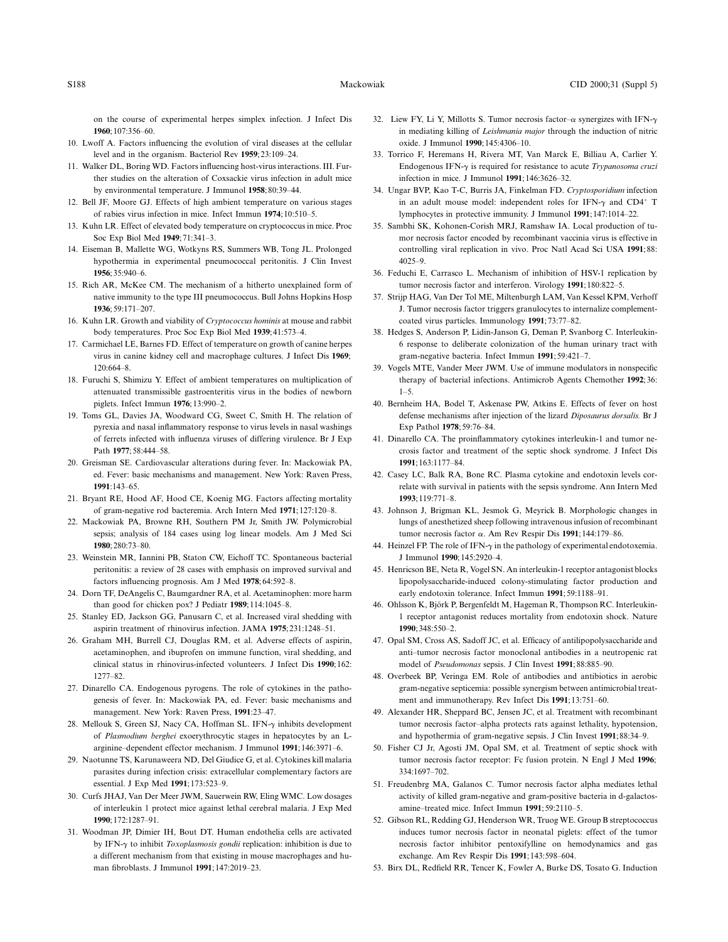on the course of experimental herpes simplex infection. J Infect Dis **1960**;107:356–60.

- 10. Lwoff A. Factors influencing the evolution of viral diseases at the cellular level and in the organism. Bacteriol Rev **1959**;23:109–24.
- 11. Walker DL, Boring WD. Factors influencing host-virus interactions. III. Further studies on the alteration of Coxsackie virus infection in adult mice by environmental temperature. J Immunol **1958**;80:39–44.
- 12. Bell JF, Moore GJ. Effects of high ambient temperature on various stages of rabies virus infection in mice. Infect Immun **1974**;10:510–5.
- 13. Kuhn LR. Effect of elevated body temperature on cryptococcus in mice. Proc Soc Exp Biol Med **1949**;71:341–3.
- 14. Eiseman B, Mallette WG, Wotkyns RS, Summers WB, Tong JL. Prolonged hypothermia in experimental pneumococcal peritonitis. J Clin Invest **1956**;35:940–6.
- 15. Rich AR, McKee CM. The mechanism of a hitherto unexplained form of native immunity to the type III pneumococcus. Bull Johns Hopkins Hosp **1936**;59:171–207.
- 16. Kuhn LR. Growth and viability of *Cryptococcus hominis* at mouse and rabbit body temperatures. Proc Soc Exp Biol Med **1939**;41:573–4.
- 17. Carmichael LE, Barnes FD. Effect of temperature on growth of canine herpes virus in canine kidney cell and macrophage cultures. J Infect Dis **1969**; 120:664–8.
- 18. Furuchi S, Shimizu Y. Effect of ambient temperatures on multiplication of attenuated transmissible gastroenteritis virus in the bodies of newborn piglets. Infect Immun **1976**;13:990–2.
- 19. Toms GL, Davies JA, Woodward CG, Sweet C, Smith H. The relation of pyrexia and nasal inflammatory response to virus levels in nasal washings of ferrets infected with influenza viruses of differing virulence. Br J Exp Path **1977**;58:444–58.
- 20. Greisman SE. Cardiovascular alterations during fever. In: Mackowiak PA, ed. Fever: basic mechanisms and management. New York: Raven Press, **1991**:143–65.
- 21. Bryant RE, Hood AF, Hood CE, Koenig MG. Factors affecting mortality of gram-negative rod bacteremia. Arch Intern Med **1971**;127:120–8.
- 22. Mackowiak PA, Browne RH, Southern PM Jr, Smith JW. Polymicrobial sepsis; analysis of 184 cases using log linear models. Am J Med Sci **1980**;280:73–80.
- 23. Weinstein MR, Iannini PB, Staton CW, Eichoff TC. Spontaneous bacterial peritonitis: a review of 28 cases with emphasis on improved survival and factors influencing prognosis. Am J Med **1978**;64:592–8.
- 24. Dorn TF, DeAngelis C, Baumgardner RA, et al. Acetaminophen: more harm than good for chicken pox? J Pediatr **1989**;114:1045–8.
- 25. Stanley ED, Jackson GG, Panusarn C, et al. Increased viral shedding with aspirin treatment of rhinovirus infection. JAMA **1975**;231:1248–51.
- 26. Graham MH, Burrell CJ, Douglas RM, et al. Adverse effects of aspirin, acetaminophen, and ibuprofen on immune function, viral shedding, and clinical status in rhinovirus-infected volunteers. J Infect Dis **1990**;162: 1277–82.
- 27. Dinarello CA. Endogenous pyrogens. The role of cytokines in the pathogenesis of fever. In: Mackowiak PA, ed. Fever: basic mechanisms and management. New York: Raven Press, **1991**:23–47.
- 28. Mellouk S, Green SJ, Nacy CA, Hoffman SL. IFN- $\gamma$  inhibits development of *Plasmodium berghei* exoerythrocytic stages in hepatocytes by an Larginine–dependent effector mechanism. J Immunol **1991**;146:3971–6.
- 29. Naotunne TS, Karunaweera ND, Del Giudice G, et al. Cytokines kill malaria parasites during infection crisis: extracellular complementary factors are essential. J Exp Med **1991**;173:523–9.
- 30. Curfs JHAJ, Van Der Meer JWM, Sauerwein RW, Eling WMC. Low dosages of interleukin 1 protect mice against lethal cerebral malaria. J Exp Med **1990**;172:1287–91.
- 31. Woodman JP, Dimier IH, Bout DT. Human endothelia cells are activated by IFN-g to inhibit *Toxoplasmosis gondii* replication: inhibition is due to a different mechanism from that existing in mouse macrophages and human fibroblasts. J Immunol **1991**;147:2019–23.
- 32. Liew FY, Li Y, Millotts S. Tumor necrosis factor- $\alpha$  synergizes with IFN- $\gamma$ in mediating killing of *Leishmania major* through the induction of nitric oxide. J Immunol **1990**;145:4306–10.
- 33. Torrico F, Heremans H, Rivera MT, Van Marck E, Billiau A, Carlier Y. Endogenous IFN-g is required for resistance to acute *Trypanosoma cruzi* infection in mice. J Immunol **1991**;146:3626–32.
- 34. Ungar BVP, Kao T-C, Burris JA, Finkelman FD. *Cryptosporidium* infection in an adult mouse model: independent roles for IFN- $\gamma$  and CD4<sup>+</sup> T lymphocytes in protective immunity. J Immunol **1991**;147:1014–22.
- 35. Sambhi SK, Kohonen-Corish MRJ, Ramshaw IA. Local production of tumor necrosis factor encoded by recombinant vaccinia virus is effective in controlling viral replication in vivo. Proc Natl Acad Sci USA **1991**;88: 4025–9.
- 36. Feduchi E, Carrasco L. Mechanism of inhibition of HSV-1 replication by tumor necrosis factor and interferon. Virology **1991**;180:822–5.
- 37. Strijp HAG, Van Der Tol ME, Miltenburgh LAM, Van Kessel KPM, Verhoff J. Tumor necrosis factor triggers granulocytes to internalize complementcoated virus particles. Immunology **1991**;73:77–82.
- 38. Hedges S, Anderson P, Lidin-Janson G, Deman P, Svanborg C. Interleukin-6 response to deliberate colonization of the human urinary tract with gram-negative bacteria. Infect Immun **1991**;59:421–7.
- 39. Vogels MTE, Vander Meer JWM. Use of immune modulators in nonspecific therapy of bacterial infections. Antimicrob Agents Chemother **1992**;36:  $1 - 5$ .
- 40. Bernheim HA, Bodel T, Askenase PW, Atkins E. Effects of fever on host defense mechanisms after injection of the lizard *Diposaurus dorsalis.* Br J Exp Pathol **1978**;59:76–84.
- 41. Dinarello CA. The proinflammatory cytokines interleukin-1 and tumor necrosis factor and treatment of the septic shock syndrome. J Infect Dis **1991**;163:1177–84.
- 42. Casey LC, Balk RA, Bone RC. Plasma cytokine and endotoxin levels correlate with survival in patients with the sepsis syndrome. Ann Intern Med **1993**;119:771–8.
- 43. Johnson J, Brigman KL, Jesmok G, Meyrick B. Morphologic changes in lungs of anesthetized sheep following intravenous infusion of recombinant tumor necrosis factor a. Am Rev Respir Dis **1991**;144:179–86.
- 44. Heinzel FP. The role of IFN- $\gamma$  in the pathology of experimental endotoxemia. J Immunol **1990**;145:2920–4.
- 45. Henricson BE, Neta R, Vogel SN. An interleukin-1 receptor antagonist blocks lipopolysaccharide-induced colony-stimulating factor production and early endotoxin tolerance. Infect Immun **1991**;59:1188–91.
- 46. Ohlsson K, Björk P, Bergenfeldt M, Hageman R, Thompson RC. Interleukin-1 receptor antagonist reduces mortality from endotoxin shock. Nature **1990**;348:550–2.
- 47. Opal SM, Cross AS, Sadoff JC, et al. Efficacy of antilipopolysaccharide and anti–tumor necrosis factor monoclonal antibodies in a neutropenic rat model of *Pseudomonas* sepsis. J Clin Invest **1991**;88:885–90.
- 48. Overbeek BP, Veringa EM. Role of antibodies and antibiotics in aerobic gram-negative septicemia: possible synergism between antimicrobial treatment and immunotherapy. Rev Infect Dis **1991**;13:751–60.
- 49. Alexander HR, Sheppard BC, Jensen JC, et al. Treatment with recombinant tumor necrosis factor–alpha protects rats against lethality, hypotension, and hypothermia of gram-negative sepsis. J Clin Invest **1991**;88:34–9.
- 50. Fisher CJ Jr, Agosti JM, Opal SM, et al. Treatment of septic shock with tumor necrosis factor receptor: Fc fusion protein. N Engl J Med **1996**; 334:1697–702.
- 51. Freudenbrg MA, Galanos C. Tumor necrosis factor alpha mediates lethal activity of killed gram-negative and gram-positive bacteria in d-galactosamine–treated mice. Infect Immun **1991**;59:2110–5.
- 52. Gibson RL, Redding GJ, Henderson WR, Truog WE. Group B streptococcus induces tumor necrosis factor in neonatal piglets: effect of the tumor necrosis factor inhibitor pentoxifylline on hemodynamics and gas exchange. Am Rev Respir Dis **1991**;143:598–604.
- 53. Birx DL, Redfield RR, Tencer K, Fowler A, Burke DS, Tosato G. Induction